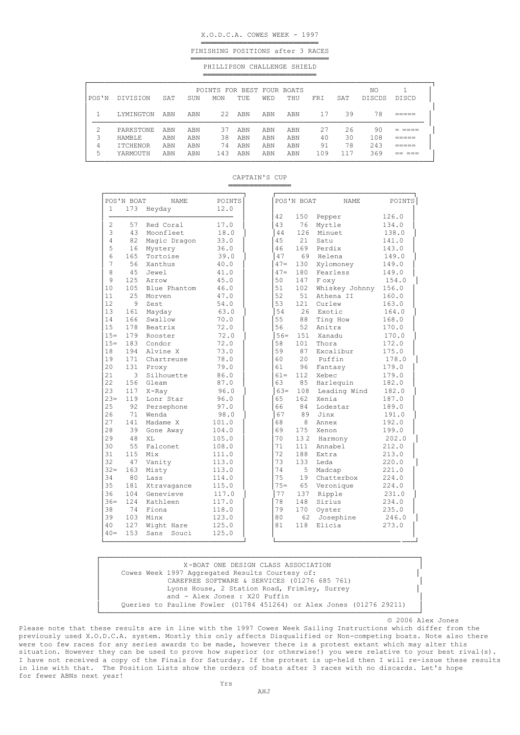## X.O.D.C.A. COWES WEEK - 1997

════════════════════════════ FINISHING POSITIONS after 3 RACES

═════════════════════════════════ PHILLIPSON CHALLENGE SHIELD ═══════════════════════════

| POS'N | DIVISION        | SAT | SUN | POINTS FOR BEST FOUR BOATS<br><b>MON</b> | TUE | <b>WED</b> | THU | <b>FRT</b> | SAT | NO<br><b>DISCDS</b> | DISCD |
|-------|-----------------|-----|-----|------------------------------------------|-----|------------|-----|------------|-----|---------------------|-------|
|       | LYMINGTON       | ABN | ABN | 22                                       | ABN | ABN        | ABN | 17         | 39  | 78                  |       |
| ◠     | PARKSTONE       | ABN | ABN | 37                                       | ABN | ABN        | ABN | 27         | 26  | 90                  |       |
| 3     | <b>HAMBLE</b>   | ABN | ABN | 38                                       | ABN | ABN        | ABN | 40         | 30  | 108                 |       |
| 4     | <b>ITCHENOR</b> | ABN | ABN | 74                                       | ABN | ABN        | ABN | 91         | 78  | 243                 |       |
| 5     | YARMOUTH        | ABN | ABN | 143                                      | ABN | ABN        | ABN | 109        | 117 | 369                 |       |

## CAPTAIN'S CUP ═════════════════════════

| $\mathbf{1}$ | POS'N BOAT<br>173 | <b>NAME</b><br>Heyday | POINTS<br>12.0 |        | POS'N BOAT | NAME           | POINTS |
|--------------|-------------------|-----------------------|----------------|--------|------------|----------------|--------|
|              |                   |                       |                | 42     | 150        | Pepper         | 126.0  |
| 2            | 57                | Red Coral             | 17.0           | 43     | 76         | Myrtle         | 134.0  |
| 3            | 43                | Moonfleet             | 18.0           | 44     | 126        | Minuet         | 138.0  |
| 4            | 82                | Magic Dragon          | 33.0           | 45     | 2.1        | Satu           | 141.0  |
| 5            | 16                | Mystery               | 36.0           | 46     | 169        | Perdix         | 143.0  |
| 6            | 165               | Tortoise              | 39.0           | 47     | 69         | Helena         | 149.0  |
| 7            | 56                | Xanthus               | 40.0           | $47 =$ | 130        | Xylomoney      | 149.0  |
| 8            | 45                | Jewel                 | 41.0           | $47 =$ | 180        | Fearless       | 149.0  |
| 9            | 125               | Arrow                 | 45.0           | 50     | 147        | F oxy          | 154.0  |
| 10           | 105               | Blue Phantom          | 46.0           | 51     | 102        | Whiskey Johnny | 156.0  |
| 11           | 25                | Morven                | 47.0           | 52     | 51         | Athena II      | 160.0  |
| 12           | 9                 | Zest                  | 54.0           | 53     | 121        | Curlew         | 163.0  |
| 13           | 161               | Mayday                | 63.0           | 54     | 26         | Exotic         | 164.0  |
| 14           | 166               | Swallow               | 70.0           | 55     | 88         | Ting How       | 168.0  |
| 15           | 178               | Beatrix               | 72.0           | 56     | 52         | Anitra         | 170.0  |
| $15 =$       | 179               | Rooster               | 72.0           | $56 =$ | 151        | Xanadu         | 170.0  |
| $15 =$       | 183               | Condor                | 72.0           | 58     | 101        | Thora          | 172.0  |
| 18           | 194               | Alvine X              | 73.0           | 59     | 87         | Excalibur      | 175.0  |
| 19           | 171               | Chartreuse            | 78.0           | 60     | 2.0        | Puffin         | 178.0  |
| 20           | 131               | Proxy                 | 79.0           | 61     | 96         | Fantasy        | 179.0  |
| 21           | 3                 | Silhouette            | 86.0           | $61 =$ | 112        | Xebec          | 179.0  |
| 22           | 156               | Gleam                 | 87.0           | 63     | 85         | Harlequin      | 182.0  |
| 23           | 117               | $X$ -Ray              | 96.0           | $63 =$ | 108        | Leading Wind   | 182.0  |
| $23=$        | 119               | Lonr Star             | 96.0           | 65     | 162        | Xenia          | 187.0  |
| 25           | 92                | Persephone            | 97.0           | 66     | 84         | Lodestar       | 189.0  |
| 26           | 71                | Wenda                 | 98.0           | 67     | 89         | Jinx           | 191.0  |
| 27           | 141               | Madame X              | 101.0          | 68     | 8          | Annex          | 192.0  |
| 28           | 39                | Gone Away             | 104.0          | 69     | 175        | Xenon          | 199.0  |
| 29           | 48                | XT <sub>1</sub>       | 105.0          | 70     | 132        | Harmony        | 202.0  |
| 30           | 55                | Falconet              | 108.0          | 71     | 111        | Annabel        | 212.0  |
| 31           | 115               | Mix                   | 111.0          | 72     | 188        | Extra          | 213.0  |
| 32           | 47                | Vanity                | 113.0          | 73     | 133        | Leda           | 220.0  |
| $32 =$       | 163               | Misty                 | 113.0          | 74     | 5          | Madcap         | 221.0  |
| 34           | 80                | Lass                  | 114.0          | 75     | 19         | Chatterbox     | 224.0  |
| 35           | 181               | Xtravagance           | 115.0          | $75 =$ | 65         | Veronique      | 224.0  |
| 36           | 104               | Genevieve             | 117.0          | 77     | 137        | Ripple         | 231.0  |
| $36=$        | 124               | Kathleen              | 117.0          | 78     | 148        | Sirius         | 234.0  |
| 38           | 74                | Fiona                 | 118.0          | 79     | 170        | Oyster         | 235.0  |
| 39           | 103               | Minx                  | 123.0          | 80     | 62         | Josephine      | 246.0  |
| 40           | 127               | Wight Hare            | 125.0          | 81     | 118        | Elicia         | 273.0  |
| $40 =$       | 153               | Sans<br>Souci         | 125.0          |        |            |                |        |

| X-BOAT ONE DESIGN CLASS ASSOCIATION                                  |  |  |  |  |  |  |  |  |  |
|----------------------------------------------------------------------|--|--|--|--|--|--|--|--|--|
| Cowes Week 1997 Aggregated Results Courtesy of:                      |  |  |  |  |  |  |  |  |  |
| CAREFREE SOFTWARE & SERVICES (01276 685 761)                         |  |  |  |  |  |  |  |  |  |
| Lyons House, 2 Station Road, Frimley, Surrey                         |  |  |  |  |  |  |  |  |  |
| and - Alex Jones : X20 Puffin                                        |  |  |  |  |  |  |  |  |  |
| Oueries to Pauline Fowler (01784 451264) or Alex Jones (01276 29211) |  |  |  |  |  |  |  |  |  |
|                                                                      |  |  |  |  |  |  |  |  |  |

© 2006 Alex Jones

Please note that these results are in line with the 1997 Cowes Week Sailing Instructions which differ from the previously used X.O.D.C.A. system. Mostly this only affects Disqualified or Non-competing boats. Note also there were too few races for any series awards to be made, however there is a protest extant which may alter this situation. However they can be used to prove how superior (or otherwise!) you were relative to your best rival(s). I have not received a copy of the Finals for Saturday. If the protest is up-held then I will re-issue these results in line with that. The Position Lists show the orders of boats after 3 races with no discards. Let's hope for fewer ABNs next year!

Yrs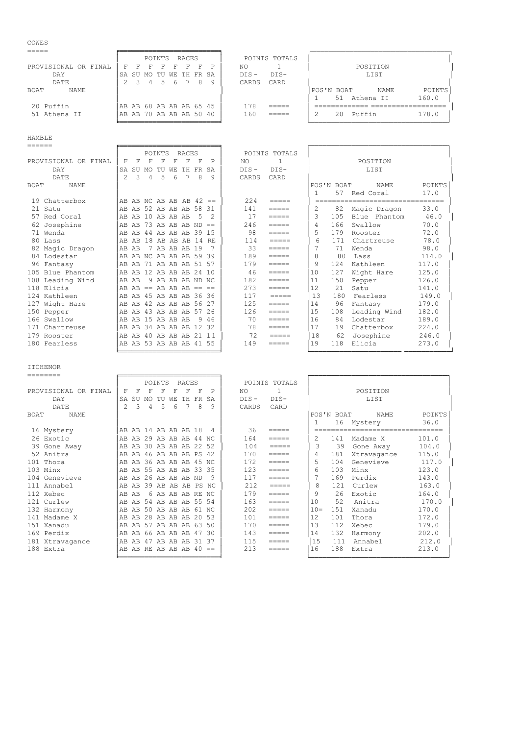| COWES                         |                                                                                |                              |
|-------------------------------|--------------------------------------------------------------------------------|------------------------------|
|                               | POINTS<br>RACES                                                                | POINTS TOTALS                |
| PROVISIONAL OR FINAL          | F<br>P<br>F<br>F<br>F<br>F<br>F                                                | POSITION<br>NO.              |
| DAY                           | TU<br>WE TH FR SA<br>SA SU MO                                                  | LIST<br>$DIS -$<br>$DIS-$    |
| DATE                          | 3<br>8<br>9<br>$\mathcal{P}$<br>.5<br>6<br>4                                   | CARDS<br>CARD                |
| BOAT<br>NAME                  |                                                                                | POINTS<br>POS'N BOAT<br>NAME |
|                               |                                                                                | 160.0<br>51<br>Athena II     |
| 20 Puffin                     | AB AB 68 AB AB AB 65 45                                                        | 178                          |
| 51 Athena II                  | AB AB 70 AB AB AB 50 40                                                        | 160<br>178.0<br>Puffin<br>20 |
|                               |                                                                                |                              |
|                               |                                                                                |                              |
| <b>HAMBLE</b>                 |                                                                                |                              |
|                               |                                                                                |                              |
|                               | RACES<br>POINTS                                                                | POINTS TOTALS                |
| DD OIIT O TONIA T<br>$AD$ $D$ | $\blacksquare$<br>$\blacksquare$<br>$\overline{ }$<br>$\overline{\phantom{0}}$ | DOOTMT ON<br>$\sim$<br>270   |

| PROVISIONAL OR FINAL       | F                         | F   | F              | F           | F  | F                    | F       | P   | NO.     |                 |         |            | POSITION                |        |
|----------------------------|---------------------------|-----|----------------|-------------|----|----------------------|---------|-----|---------|-----------------|---------|------------|-------------------------|--------|
| DAY                        | SA SU MO TU               |     |                |             | WЕ | TH FR SA             |         |     | $DIS -$ | $DIS-$          |         |            | LIST                    |        |
| DATE                       | $\mathcal{P}$             | 3   | $\overline{4}$ | 5           | 6  |                      | 8       | 9   | CARDS   | CARD            |         |            |                         |        |
| <b>BOAT</b><br><b>NAME</b> |                           |     |                |             |    |                      |         |     |         |                 |         | POS'N BOAT | <b>NAME</b>             | POINTS |
|                            |                           |     |                |             |    |                      |         |     |         |                 |         | 57         | Red Coral               | 17.0   |
| 19 Chatterbox              | AB AB NC AB AB AB $42 ==$ |     |                |             |    |                      |         |     | 224     | $=$ $=$ $=$ $=$ |         |            | ----------------------- |        |
| 21 Satu                    | AB AB 52 AB AB AB 58      |     |                |             |    |                      |         | -31 | 141     | $=$ $=$ $=$ $=$ | 2.      | 82         | Magic Dragon            | 33.0   |
| 57 Red Coral               | AB                        | AB  |                | 10 AB AB AB |    |                      | - 5     |     | 17      | $=$ $=$ $=$ $=$ | 3       | 105        | Blue Phantom            | 46.0   |
| 62 Josephine               | AB AB                     |     |                |             |    | 73 AB AB AB          | $ND ==$ |     | 246     | $=$ $=$ $=$ $=$ | 4       | 166        | Swallow                 | 70.0   |
| 71 Wenda                   | AB                        | AB  |                |             |    | 44 AB AB AB 39 15    |         |     | 98      | $------$        | 5       | 179        | Rooster                 | 72.0   |
| 80 Lass                    | AB                        |     |                |             |    | AB 18 AB AB AB 14 RE |         |     | 114     | $=$ $=$ $=$ $=$ | 6       | 171        | Chartreuse              | 78.0   |
| 82 Magic Dragon            | AB                        | AB  |                |             |    | 7 AB AB AB 19        |         |     | 33      | =====           |         | 71         | Wenda                   | 98.0   |
| 84 Lodestar                | AB AB NC AB AB AB 59 39   |     |                |             |    |                      |         |     | 189     | $=$ $=$ $=$ $=$ | 8       | 80         | Lass                    | 114.0  |
| 96 Fantasy                 | AB                        | AB  |                |             |    | 71 AB AB AB 51 57    |         |     | 179     | =====           | $\circ$ | 124        | Kathleen                | 117.0  |
| 105 Blue Phantom           | AB                        | AB. |                |             |    | 12 AB AB AB 24 10    |         |     | 46      | $=$ $=$ $=$ $=$ | 10      | 127        | Wight Hare              | 125.0  |
| 108 Leading Wind           | <b>AB</b>                 | AB  |                |             |    | 9 AB AB AB ND NC     |         |     | 182     | =====           | 11      | 150        | Pepper                  | 126.0  |
| 118 Elicia                 | $AB AB == AB AB AB == ==$ |     |                |             |    |                      |         |     | 273     | $=$ $=$ $=$ $=$ | 12      | 21         | Satu                    | 141.0  |
| 124 Kathleen               | AB AB 45 AB AB AB 36 36   |     |                |             |    |                      |         |     | 117     | $=$ $=$ $=$ $=$ | 13      | 180        | Fearless                | 149.0  |
| 127 Wight Hare             | AB                        | AB  |                |             |    | 42 AB AB AB 56 27    |         |     | 125     | $=$ $=$ $=$ $=$ | 14      | 96         | Fantasy                 | 179.0  |
| 150 Pepper                 | AB                        |     |                |             |    | AB 43 AB AB AB 57 26 |         |     | 126     | =====           | 15      | 108        | Leading Wind            | 182.0  |
| 166 Swallow                | AB                        | AB  |                | 15 AB AB AB |    |                      | 9       | 46  | 70      | $=$ $=$ $=$ $=$ | 16      | 84         | Lodestar                | 189.0  |
| 171 Chartreuse             | AB                        | AB  |                |             |    | 34 AB AB AB 12 32    |         |     | 78      | $=$ $=$ $=$ $=$ | 17      | 19         | Chatterbox              | 224.0  |
| 179 Rooster                | AB                        | AB  |                |             |    | 40 AB AB AB 21 11    |         |     | 72      | =====           | 18      | 62         | Josephine               | 246.0  |
| 180 Fearless               | AB AB 53 AB AB AB 41 55   |     |                |             |    |                      |         |     | 149     | =====           | 19      | 118        | Elicia                  | 273.0  |

|                |            | POSITION<br>LIST                                  |        |
|----------------|------------|---------------------------------------------------|--------|
|                | POS'N BOAT | NAME                                              | POINTS |
| 1              |            | 57 Red Coral<br>================================= | 17.0   |
| 2              |            | 82 Magic Dragon 33.0                              |        |
| 3              |            | 105 Blue Phantom 46.0                             |        |
| $\overline{4}$ |            | 166 Swallow                                       | 70.0   |
| 5              |            | 179 Rooster                                       | 72.0   |
| 6              |            | 171 Chartreuse                                    | 78.0   |
| 7              |            | 71 Wenda                                          | 98.0   |
| 8              |            | 80 Lass                                           | 114.0  |
| 9              |            | 124 Kathleen                                      | 117.0  |
| 10             | 127        | Wight Hare                                        | 125.0  |
| 11             | 150        | Pepper                                            | 126.0  |
| 12             | 21         | Satu                                              | 141.0  |
| 13             |            | 180 Fearless                                      | 149.0  |
| 14             | 96         | Fantasy                                           | 179.0  |
| $15 -$         | 108        | Leading Wind 182.0                                |        |
| 16             | 84         | Lodestar                                          | 189.0  |
| 17             |            | 19 Chatterbox                                     | 224.0  |
| 18             |            | 62 Josephine                                      | 246.0  |
| 19             | 118        | Elicia                                            | 273.0  |

| ٠<br>۱<br>$\sim$<br>M.<br>۰. |
|------------------------------|
|------------------------------|

| _________ |  |  |  |
|-----------|--|--|--|
| ________  |  |  |  |
|           |  |  |  |

| ========             |                         |                   |                   |   |                |     |      |         |                 |        |            |                                |        |  |
|----------------------|-------------------------|-------------------|-------------------|---|----------------|-----|------|---------|-----------------|--------|------------|--------------------------------|--------|--|
|                      |                         |                   | POINTS            |   | RACES          |     |      |         | POINTS TOTALS   |        |            |                                |        |  |
| PROVISIONAL OR FINAL | F                       | F<br>F            | F                 | F | F              | F   | P    | NO.     | $\overline{1}$  |        |            | POSITION                       |        |  |
| DAY                  | SA SU MO                |                   | TU                |   | WE TH          | FR  | SA   | $DIS -$ | $DIS-$          |        | LIST       |                                |        |  |
| DATE                 | $\mathcal{P}$           | 3<br>4            | .5                | 6 |                | 8   | 9    | CARDS   | CARD            |        |            |                                |        |  |
| BOAT<br>NAME         |                         |                   |                   |   |                |     |      |         |                 |        | POS'N BOAT | NAME                           | POINTS |  |
|                      |                         |                   |                   |   |                |     |      |         |                 |        |            | 16 Mystery                     | 36.0   |  |
| 16 Mystery           | AB AB 14 AB AB AB 18    |                   |                   |   |                |     | 4    | 36      | $=$ $=$ $=$ $=$ |        |            | ============================== |        |  |
| 26 Exotic            | AB AB 29 AB AB AB 44 NC |                   |                   |   |                |     |      | 164     | $=$ $=$ $=$ $=$ | 2.     | 141        | Madame X                       | 101.0  |  |
| 39 Gone Away         | AB<br>AB                |                   | 30 AB AB AB 22 52 |   |                |     |      | 104     | =====           | 3      | 39         | Gone Away                      | 104.0  |  |
| 52 Anitra            | AB<br>AB.               |                   | 46 AB AB AB PS    |   |                |     | 42   | 170     | $=$ $=$ $=$ $=$ | 4      | 181        | Xtravagance                    | 115.0  |  |
| 101 Thora            | AB AB                   |                   | 36 AB AB AB 45 NC |   |                |     |      | 172     | $=$ $=$ $=$ $=$ | 5      | 104        | Genevieve                      | 117.0  |  |
| 103 Minx             | AB AB                   |                   | 55 AB AB AB 33    |   |                |     | 35   | 123     | $=$ $=$ $=$ $=$ | 6      | 103        | Minx                           | 123.0  |  |
| 104 Genevieve        | AB<br>AB                |                   | 26 AB AB AB ND    |   |                |     | 9    | 117     | $=$ $=$ $=$ $=$ |        | 169        | Perdix                         | 143.0  |  |
| 111 Annabel          | AB AB 39 AB AB AB PS    |                   |                   |   |                |     | - NC | 212     | —————           | 8      | 121        | Curlew                         | 163.0  |  |
| 112 Xebec            | AB<br>AB                |                   | 6 AB AB AB RE NC  |   |                |     |      | 179     | $=$ $=$ $=$ $=$ | 9      | 26         | Exotic                         | 164.0  |  |
| 121 Curlew           | AB<br>AB.               |                   | 54 AB AB AB 55 54 |   |                |     |      | 163     | $=$ $=$ $=$ $=$ | 10     | 52         | Anitra                         | 170.0  |  |
| 132 Harmony          | AB AB 50 AB AB AB       |                   |                   |   |                | -61 | -NC  | 202     | $=$ $=$ $=$ $=$ | $10 =$ | 151        | Xanadu                         | 170.0  |  |
| 141 Madame X         | AB<br>AB                | 2.8               | AB AB AB 20       |   |                |     | -53  | 101     | $=$ $=$ $=$ $=$ | 12     | 101        | Thora                          | 172.0  |  |
| 151 Xanadu           | AB                      | AB 57 AB AB AB 63 |                   |   |                |     | .50  | 170     | $=$ $=$ $=$ $=$ | 13     | 112        | Xebec                          | 179.0  |  |
| 169 Perdix           | AB<br>AB                |                   | 66 AB AB AB       |   |                | 47  | 30   | 143     | $=$ $=$ $=$ $=$ | 14     | 132        | Harmony                        | 202.0  |  |
| 181 Xtravagance      | AB<br>AB                | 47                |                   |   | AB AB AB 31 37 |     |      | 115     | $=$ $=$ $=$ $=$ | 15     | 111        | Annabel                        | 212.0  |  |
| 188 Extra            | AB                      | AB RE AB AB AB 40 |                   |   |                |     | $=$  | 213     | $=$ $=$ $=$ $=$ | 16     | 188        | Extra                          | 213.0  |  |

╘════════════════════════╛ └─────────────────────────────────┘

╘════════════════════════╛ └────────────────────── ───────────┘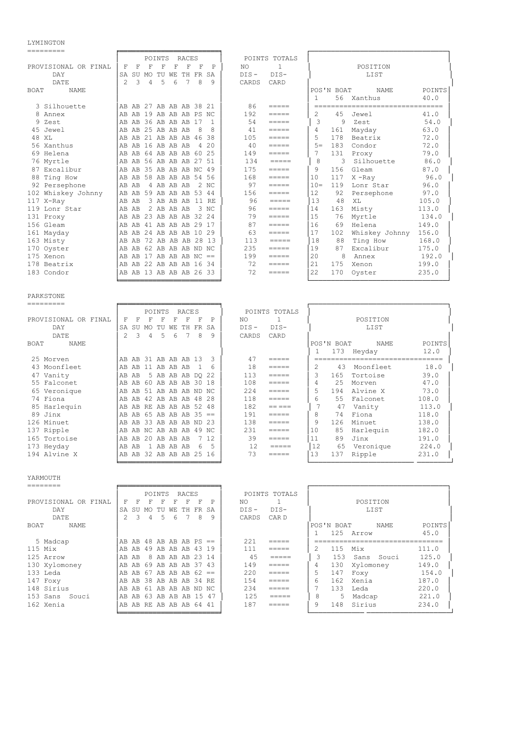## LYMINGTON<br>=========

| =========                   |                                                                                                                                                        |                                                                                                                                                                                                                                                                                                                                                                                                                                                                                                                         |  |
|-----------------------------|--------------------------------------------------------------------------------------------------------------------------------------------------------|-------------------------------------------------------------------------------------------------------------------------------------------------------------------------------------------------------------------------------------------------------------------------------------------------------------------------------------------------------------------------------------------------------------------------------------------------------------------------------------------------------------------------|--|
|                             | POINTS<br>RACES                                                                                                                                        | POINTS TOTALS                                                                                                                                                                                                                                                                                                                                                                                                                                                                                                           |  |
| PROVISIONAL OR FINAL        | F<br>F<br>$\mathbf{F}$<br>P<br>F<br>F<br>F<br>F                                                                                                        | NO.<br>$\mathbf{1}$<br>POSITION                                                                                                                                                                                                                                                                                                                                                                                                                                                                                         |  |
| DAY                         | TH FR<br>SA<br>SU<br>MO<br>TU WE<br>SA                                                                                                                 | $DIS-$<br>$DIS -$<br>LIST                                                                                                                                                                                                                                                                                                                                                                                                                                                                                               |  |
| DATE                        | 5<br>7<br>8<br>$\mathcal{P}$<br>$\mathcal{L}$<br>6<br>$\mathsf{Q}$<br>4                                                                                | CARDS<br>CARD                                                                                                                                                                                                                                                                                                                                                                                                                                                                                                           |  |
| <b>BOAT</b><br>NAME.        |                                                                                                                                                        | <b>POINTS</b><br>POS'N BOAT<br><b>NAME</b>                                                                                                                                                                                                                                                                                                                                                                                                                                                                              |  |
|                             |                                                                                                                                                        | 40.0<br>56 Xanthus<br>1                                                                                                                                                                                                                                                                                                                                                                                                                                                                                                 |  |
| 3 Silhouette                | AB AB 27 AB AB AB 38 21                                                                                                                                | 86<br>$=$ $=$ $=$ $=$<br>---------------------------------                                                                                                                                                                                                                                                                                                                                                                                                                                                              |  |
| 8 Annex                     | AB AB 19 AB AB AB PS NC                                                                                                                                | 192<br>2<br>4.5<br>41.0<br>Jewel<br>$=$ $=$ $=$ $=$                                                                                                                                                                                                                                                                                                                                                                                                                                                                     |  |
| 9 Zest                      | AB AB 36 AB AB AB 17<br>$\mathbf{1}$                                                                                                                   | 3<br>54<br>9<br>54.0<br>Zest<br>$=$ $=$ $=$ $=$                                                                                                                                                                                                                                                                                                                                                                                                                                                                         |  |
| 45 Jewel                    | AB AB 25 AB AB AB<br>-8<br>8                                                                                                                           | 41<br>4<br>161<br>63.0<br>Mayday<br>$=$ $=$ $=$ $=$                                                                                                                                                                                                                                                                                                                                                                                                                                                                     |  |
| 48 XL                       | AB 21 AB AB AB 46 38<br>AB                                                                                                                             | 5<br>105<br>178<br>Beatrix<br>72.0<br>$\frac{1}{1} \frac{1}{1} \frac{1}{1} \frac{1}{1} \frac{1}{1} \frac{1}{1} \frac{1}{1} \frac{1}{1} \frac{1}{1} \frac{1}{1} \frac{1}{1} \frac{1}{1} \frac{1}{1} \frac{1}{1} \frac{1}{1} \frac{1}{1} \frac{1}{1} \frac{1}{1} \frac{1}{1} \frac{1}{1} \frac{1}{1} \frac{1}{1} \frac{1}{1} \frac{1}{1} \frac{1}{1} \frac{1}{1} \frac{1}{1} \frac{1}{1} \frac{1}{1} \frac{1}{1} \frac{1}{1} \frac{$                                                                                      |  |
| 56 Xanthus                  | AB AB 16 AB AB AB<br>4 20                                                                                                                              | 40<br>$5 =$<br>183<br>Condor<br>72.0<br>$=$ $=$ $=$ $=$                                                                                                                                                                                                                                                                                                                                                                                                                                                                 |  |
| 69 Helena                   | AB AB 64 AB AB AB 60 25                                                                                                                                | 149<br>7<br>131<br>79.0<br>Proxy<br>$=====$                                                                                                                                                                                                                                                                                                                                                                                                                                                                             |  |
| 76 Myrtle                   | AB AB 56 AB AB AB 27 51                                                                                                                                | 8<br>134<br>3<br>Silhouette<br>86.0<br>$=$ $=$ $=$ $=$                                                                                                                                                                                                                                                                                                                                                                                                                                                                  |  |
| 87 Excalibur                | AB AB 35 AB AB AB NC 49                                                                                                                                | 175<br>9<br>156<br>Gleam<br>87.0<br>$=$ $=$ $=$ $=$                                                                                                                                                                                                                                                                                                                                                                                                                                                                     |  |
| 88 Ting How                 | AB 58 AB AB AB 54 56<br>AB                                                                                                                             | 168<br>10<br>96.0<br>117<br>$X$ -Ray                                                                                                                                                                                                                                                                                                                                                                                                                                                                                    |  |
| 92 Persephone               | 2 NC<br>AB<br>4 AB AB AB<br>AB                                                                                                                         | 97<br>$10 =$<br>119<br>Lonr Star<br>96.0<br>$\frac{1}{1} \frac{1}{1} \frac{1}{1} \frac{1}{1} \frac{1}{1} \frac{1}{1} \frac{1}{1} \frac{1}{1} \frac{1}{1} \frac{1}{1} \frac{1}{1} \frac{1}{1} \frac{1}{1} \frac{1}{1} \frac{1}{1} \frac{1}{1} \frac{1}{1} \frac{1}{1} \frac{1}{1} \frac{1}{1} \frac{1}{1} \frac{1}{1} \frac{1}{1} \frac{1}{1} \frac{1}{1} \frac{1}{1} \frac{1}{1} \frac{1}{1} \frac{1}{1} \frac{1}{1} \frac{1}{1} \frac{$                                                                                |  |
| 102 Whiskey Johnny          | AB AB 59 AB AB AB 53 44                                                                                                                                | 12<br>156<br>97.0<br>92<br>Persephone<br>$\frac{1}{1} \frac{1}{1} \frac{1}{1} \frac{1}{1} \frac{1}{1} \frac{1}{1} \frac{1}{1} \frac{1}{1} \frac{1}{1} \frac{1}{1} \frac{1}{1} \frac{1}{1} \frac{1}{1} \frac{1}{1} \frac{1}{1} \frac{1}{1} \frac{1}{1} \frac{1}{1} \frac{1}{1} \frac{1}{1} \frac{1}{1} \frac{1}{1} \frac{1}{1} \frac{1}{1} \frac{1}{1} \frac{1}{1} \frac{1}{1} \frac{1}{1} \frac{1}{1} \frac{1}{1} \frac{1}{1} \frac{$                                                                                   |  |
| 117 X-Ray                   | 3 AB AB AB 11 RE<br>AB AB                                                                                                                              | 13<br>96<br>48<br>105.0<br>XL<br>$\begin{array}{cccccccccc} \multicolumn{2}{c}{} & \multicolumn{2}{c}{} & \multicolumn{2}{c}{} & \multicolumn{2}{c}{} & \multicolumn{2}{c}{} & \multicolumn{2}{c}{} & \multicolumn{2}{c}{} & \multicolumn{2}{c}{} & \multicolumn{2}{c}{} & \multicolumn{2}{c}{} & \multicolumn{2}{c}{} & \multicolumn{2}{c}{} & \multicolumn{2}{c}{} & \multicolumn{2}{c}{} & \multicolumn{2}{c}{} & \multicolumn{2}{c}{} & \multicolumn{2}{c}{} & \multicolumn{2}{c}{} & \multicolumn{2}{c}{} & \mult$ |  |
| 119 Lonr Star               | 2 AB AB AB<br>3NC<br>AB<br>AB                                                                                                                          | 96<br>14<br>163<br>Misty<br>113.0<br>=====                                                                                                                                                                                                                                                                                                                                                                                                                                                                              |  |
| 131 Proxy                   | AB AB 23 AB AB AB 32 24                                                                                                                                | 15<br>79<br>76<br>Myrtle<br>134.0<br>$=$ $=$ $=$ $=$                                                                                                                                                                                                                                                                                                                                                                                                                                                                    |  |
| 156 Gleam                   | AB AB 41 AB AB AB 29 17                                                                                                                                | 87<br>16<br>69<br>Helena<br>149.0<br>=====                                                                                                                                                                                                                                                                                                                                                                                                                                                                              |  |
| 161 Mayday                  | AB AB 24 AB AB AB 10 29                                                                                                                                | 63<br>17<br>Whiskey Johnny<br>102<br>156.0<br>$=$ $=$ $=$ $=$                                                                                                                                                                                                                                                                                                                                                                                                                                                           |  |
| 163 Misty                   | AB AB 72 AB AB AB 28 13                                                                                                                                | 113<br>18<br>88<br>Ting How<br>168.0<br>$=$ $=$ $=$ $=$                                                                                                                                                                                                                                                                                                                                                                                                                                                                 |  |
| 170 Oyster                  | AB AB 62 AB AB AB ND NC                                                                                                                                | 235<br>19<br>87<br>Excalibur<br>175.0<br>$=$ $=$ $=$ $=$                                                                                                                                                                                                                                                                                                                                                                                                                                                                |  |
| 175 Xenon                   | AB AB 17 AB AB AB NC $==$                                                                                                                              | 20<br>8<br>192.0<br>199<br>Annex<br>$=$ $=$ $=$ $=$                                                                                                                                                                                                                                                                                                                                                                                                                                                                     |  |
| 178 Beatrix                 | AB AB 22 AB AB AB 16 34                                                                                                                                | 2.1<br>72<br>199.0<br>175<br>Xenon                                                                                                                                                                                                                                                                                                                                                                                                                                                                                      |  |
| 183 Condor                  | AB AB 13 AB AB AB 26 33                                                                                                                                | 72<br>22<br>170<br>235.0<br>Oyster<br>$=$ $=$ $=$ $=$                                                                                                                                                                                                                                                                                                                                                                                                                                                                   |  |
|                             |                                                                                                                                                        |                                                                                                                                                                                                                                                                                                                                                                                                                                                                                                                         |  |
|                             |                                                                                                                                                        |                                                                                                                                                                                                                                                                                                                                                                                                                                                                                                                         |  |
| PARKSTONE                   |                                                                                                                                                        |                                                                                                                                                                                                                                                                                                                                                                                                                                                                                                                         |  |
| ---------                   |                                                                                                                                                        |                                                                                                                                                                                                                                                                                                                                                                                                                                                                                                                         |  |
|                             | POINTS<br>RACE S                                                                                                                                       | POINTS TOTALS                                                                                                                                                                                                                                                                                                                                                                                                                                                                                                           |  |
| PROVISIONAL OR FINAL<br>max | F<br>F<br>F<br>F<br>F<br>F<br>F<br>P<br>$\sim$ $\sim$<br>$Q_{\text{II}}$ $M_{\text{II}}$ $m_{\text{II}}$ $n_{\text{III}}$<br>$m11$ mm<br>$\sim$ $\sim$ | NO.<br>1<br>POSITION<br>$n + a$<br>$n + a$<br>$+ + \alpha$                                                                                                                                                                                                                                                                                                                                                                                                                                                              |  |
|                             |                                                                                                                                                        |                                                                                                                                                                                                                                                                                                                                                                                                                                                                                                                         |  |

| PROVISIONAL OR FINAL | F             | F     | F | F                       | F | F  | F | P    | NO.     |                 |    |            | POSITION   |        |
|----------------------|---------------|-------|---|-------------------------|---|----|---|------|---------|-----------------|----|------------|------------|--------|
| DAY                  |               |       |   | SA SU MO TU WE TH FR SA |   |    |   |      | $DIS -$ | $DIS-$          |    |            | LIST       |        |
| DATE                 | $\mathcal{P}$ | 3     | 4 | -5                      | 6 | -7 | 8 | 9    | CARDS   | CARD            |    |            |            |        |
| BOAT<br><b>NAME</b>  |               |       |   |                         |   |    |   |      |         |                 |    | POS'N BOAT | NAME       | POINTS |
|                      |               |       |   |                         |   |    |   |      |         |                 |    |            | 173 Heyday | 12.0   |
| 25 Morven            |               |       |   | AB AB 31 AB AB AB 13    |   |    |   | 3    | 47      | =====           |    |            |            |        |
| 43 Moonfleet         |               | AB AB |   | 11 AB AB AB             |   |    |   | 6    | 18      | $=$ $=$ $=$ $=$ |    | 43         | Moonfleet  | 18.0   |
| 47 Vanity            | AB            | AB    |   | 5 AB AB AB DO 22        |   |    |   |      | 113     | $=$ $=$ $=$ $=$ | 3  | 165        | Tortoise   | 39.0   |
| 55 Falconet          | AB.           | AB    |   | 60 AB AB AB 30 18       |   |    |   |      | 108     | $=====$         | 4  | 25         | Morven     | 47.0   |
| 65 Veronique         |               |       |   | AB AB 51 AB AB AB ND NC |   |    |   |      | 224     | $=$ $=$ $=$ $=$ | 5  | 194        | Alvine X   | 73.0   |
| 74 Fiona             |               | AB AB |   | 42 AB AB AB 48 28       |   |    |   |      | 118     | $=$ $=$ $=$ $=$ | 6  | 55         | Falconet   | 108.0  |
| 85 Harlequin         | AB.           |       |   | AB RE AB AB AB 52 48    |   |    |   |      | 182     | == ===          |    | 47         | Vanity     | 113.0  |
| 89 Jinx              |               |       |   | AB AB 65 AB AB AB 35 == |   |    |   |      | 191     | $=$ $=$ $=$ $=$ | 8  | 74         | Fiona      | 118.0  |
| 126 Minuet           | AB            | AB.   |   | 33 AB AB AB ND 23       |   |    |   |      | 138     | $=$ $=$ $=$ $=$ | 9  | 126        | Minuet     | 138.0  |
| 137 Ripple           | AB            |       |   | AB NC AB AB AB 49 NC    |   |    |   |      | 231     | $=$ $=$ $=$ $=$ | 10 | 85         | Harlequin  | 182.0  |
| 165 Tortoise         |               | AB AB |   | 20 AB AB AB             |   |    |   | 7 12 | 39      | =====           | 11 | 89         | Jinx       | 191.0  |
| 173 Heyday           | AB            | AB    |   | 1 AB AB AB              |   |    | 6 |      | 12      | =====           | 12 | 65         | Veronique  | 224.0  |
| 194 Alvine X         |               |       |   | AB AB 32 AB AB AB 25 16 |   |    |   |      | 73      | =====           | 13 | 137        | Ripple     | 231.0  |
|                      |               |       |   |                         |   |    |   |      |         |                 |    |            |            |        |
|                      |               |       |   |                         |   |    |   |      |         |                 |    |            |            |        |
| YARMOUTH             |               |       |   |                         |   |    |   |      |         |                 |    |            |            |        |
| --------             |               |       |   |                         |   |    |   |      |         |                 |    |            |            |        |

| -------              |                                                                                              |
|----------------------|----------------------------------------------------------------------------------------------|
|                      | POINTS TOTALS<br>POINTS<br>RACES                                                             |
| PROVISIONAL OR FINAL | POSITION<br>F<br>P<br>NO.<br>F<br>F<br>F<br>F<br>F<br>F                                      |
| DAY                  | $DTS -$<br>$DIS-$<br>LIST<br>SA<br>TH.<br>FR.<br>SA<br>SU<br>WЕ<br>TU<br>MO.                 |
| DATE                 | 2<br>3<br>5<br>8<br>9<br>CARDS<br>CAR D<br>6<br>4                                            |
| BOAT<br><b>NAME</b>  | POINTS<br>POS'N BOAT<br>NAME                                                                 |
|                      | 125<br>45.0<br>Arrow                                                                         |
| 5 Madcap             | AB AB 48 AB AB AB PS ==<br>2.2.1<br>_____                                                    |
| $115$ Mix            | 111<br>115<br>Mix<br>111.0<br>49 AB AB AB 43 19<br>AB<br>AB.<br>—————                        |
| 125 Arrow            | 4.5<br>125.0<br>3<br>153<br>8 AB AB AB 23 14<br>Souci<br>AB<br>Sans<br>AB<br>$=$ $=$ $=$ $=$ |
| 130 Xylomoney        | 149.0<br>149<br>69 AB AB AB 37 43<br>4<br>130<br>AB<br>Xylomoney<br>AB<br>$=$ $=$ $=$ $=$    |
| 133 Leda             | 5.<br>220<br>154.0<br>AB AB AB $62 ==$<br>147<br>AB.<br>-67<br>Foxy<br>AB<br>=====           |
| 147 Foxy             | 154<br>187.0<br>6<br>162<br>AB 38 AB AB AB 34 RE<br>Xenia<br>AB.<br>=====                    |
| 148 Sirius           | 234<br>220.0<br>133<br>AB AB AB ND NC<br>Leda<br>AB<br>AB<br>-61<br>=====                    |
| 153 Sans Souci       | 125<br>221.0<br>8<br>AB AB 63 AB AB AB 15 47<br>5<br>Madcap<br>=====                         |
| 162 Xenia            | 187<br>9<br>148<br>Sirius<br>234.0<br>AB RE AB AB AB 64 41<br>AB.<br>=====                   |
|                      |                                                                                              |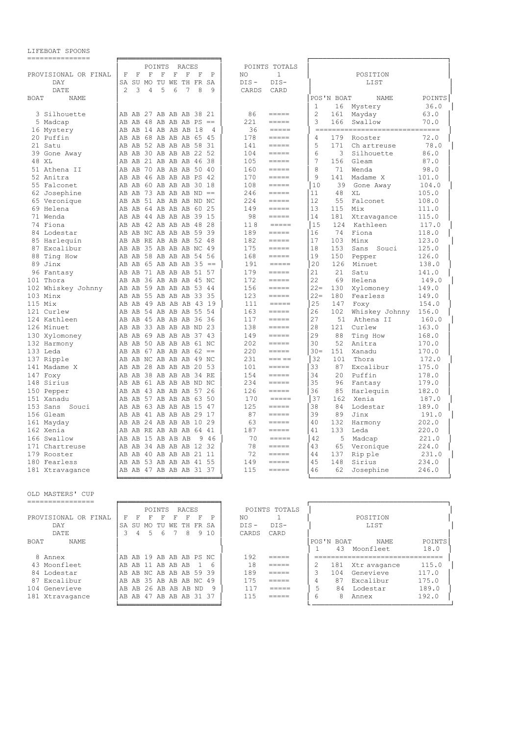| ===============      |                                                                     |                                                                                                                                                                                                                                                                                                                                                                                                                                                                                          |                                 |        |
|----------------------|---------------------------------------------------------------------|------------------------------------------------------------------------------------------------------------------------------------------------------------------------------------------------------------------------------------------------------------------------------------------------------------------------------------------------------------------------------------------------------------------------------------------------------------------------------------------|---------------------------------|--------|
|                      | POINTS<br>RACES                                                     | POINTS TOTALS                                                                                                                                                                                                                                                                                                                                                                                                                                                                            |                                 |        |
| PROVISIONAL OR FINAL | $\mathbf F$<br>F<br>$\mathbf F$<br>$\mathbf{F}$<br>F<br>F<br>F<br>P | NO.<br>1                                                                                                                                                                                                                                                                                                                                                                                                                                                                                 | POSITION                        |        |
| DAY                  | SA SU MO TU WE TH FR SA                                             | $DIS -$<br>$DIS-$                                                                                                                                                                                                                                                                                                                                                                                                                                                                        | LIST                            |        |
| DATE                 | 2<br>3<br>4<br>5<br>6<br>7<br>8<br>9                                | CARDS<br>CARD                                                                                                                                                                                                                                                                                                                                                                                                                                                                            |                                 |        |
| <b>BOAT</b><br>NAME. |                                                                     |                                                                                                                                                                                                                                                                                                                                                                                                                                                                                          | POS'N BOAT<br><b>NAME</b>       | POINTS |
|                      |                                                                     |                                                                                                                                                                                                                                                                                                                                                                                                                                                                                          | $\mathbf{1}$<br>16<br>Mystery   | 36.0   |
| 3 Silhouette         | AB AB 27 AB AB AB 38 21                                             | 86<br>$=$ $=$ $=$ $=$                                                                                                                                                                                                                                                                                                                                                                                                                                                                    | $\overline{2}$<br>Mayday<br>161 | 63.0   |
| 5 Madcap             | AB AB 48 AB AB AB PS ==                                             | 221<br>$\frac{1}{1}$                                                                                                                                                                                                                                                                                                                                                                                                                                                                     | 3<br>166<br>Swallow             | 70.0   |
| 16 Mystery           | AB AB 14 AB AB AB 18<br>$\overline{4}$                              | 36<br>$\qquad \qquad \displaystyle =\qquad \qquad \displaystyle =\qquad \qquad$                                                                                                                                                                                                                                                                                                                                                                                                          | -------------------------       | =====  |
| 20 Puffin            | AB AB 68 AB AB AB 65 45                                             | 178<br>$\frac{1}{1} \frac{1}{1} \frac{1}{1} \frac{1}{1} \frac{1}{1} \frac{1}{1} \frac{1}{1} \frac{1}{1} \frac{1}{1} \frac{1}{1} \frac{1}{1} \frac{1}{1} \frac{1}{1} \frac{1}{1} \frac{1}{1} \frac{1}{1} \frac{1}{1} \frac{1}{1} \frac{1}{1} \frac{1}{1} \frac{1}{1} \frac{1}{1} \frac{1}{1} \frac{1}{1} \frac{1}{1} \frac{1}{1} \frac{1}{1} \frac{1}{1} \frac{1}{1} \frac{1}{1} \frac{1}{1} \frac{$                                                                                      | 4<br>179<br>Rooster             | 72.0   |
| 21 Satu              | AB AB 52 AB AB AB 58 31                                             | 141<br>$\qquad \qquad \displaystyle =\qquad \qquad \displaystyle =\qquad \qquad$                                                                                                                                                                                                                                                                                                                                                                                                         | 5<br>171<br>Ch artreuse         | 78.0   |
| 39 Gone Away         | AB AB 30 AB AB AB 22 52                                             | 104<br>$=$ $=$ $=$ $=$                                                                                                                                                                                                                                                                                                                                                                                                                                                                   | 6<br>3<br>Silhouette            | 86.0   |
| 48 XL                | AB AB 21 AB AB AB 46 38                                             | 105<br>$=$ $=$ $=$ $=$                                                                                                                                                                                                                                                                                                                                                                                                                                                                   | 7<br>156<br>Gleam               | 87.0   |
| 51 Athena II         | AB AB 70 AB AB AB 50 40                                             | 160<br>$=$ $=$ $=$ $=$                                                                                                                                                                                                                                                                                                                                                                                                                                                                   | 8<br>71<br>Wenda                | 98.0   |
| 52 Anitra            | AB AB 46 AB AB AB PS 42                                             | 170<br>$\qquad \qquad \doteq \qquad \qquad \doteq \qquad \qquad \doteq \qquad \qquad \doteq \qquad \qquad \doteq \qquad \qquad \doteq \qquad \qquad \qquad \doteq \qquad \qquad \doteq \qquad \qquad \doteq \qquad \qquad \doteq \qquad \qquad \doteq \qquad \qquad \doteq \qquad \qquad \doteq \qquad \qquad \doteq \qquad \qquad \doteq \qquad \qquad \doteq \qquad \qquad \doteq \qquad \qquad \doteq \qquad \qquad \doteq \qquad \qquad \doteq \qquad \qquad \doteq \qquad \qquad \$ | 9<br>141<br>Madame X            | 101.0  |
| 55 Falconet          | AB AB 60 AB AB AB 30 18                                             | 108<br>$\qquad \qquad \doteq \qquad \qquad \doteq \qquad \qquad \doteq \qquad \qquad \doteq \qquad \qquad \doteq \qquad \qquad \doteq \qquad \qquad \qquad \doteq \qquad \qquad \doteq \qquad \qquad \doteq \qquad \qquad \doteq \qquad \qquad \doteq \qquad \qquad \doteq \qquad \qquad \doteq \qquad \qquad \doteq \qquad \qquad \doteq \qquad \qquad \doteq \qquad \qquad \doteq \qquad \qquad \doteq \qquad \qquad \doteq \qquad \qquad \doteq \qquad \qquad \doteq \qquad \qquad \$ | 10<br>39<br>Gone Away           | 104.0  |
| 62 Josephine         | AB AB 73 AB AB AB ND $==$                                           | 246                                                                                                                                                                                                                                                                                                                                                                                                                                                                                      | 11<br>48<br>ΧL                  | 105.0  |
| 65 Veronique         | AB AB 51 AB AB AB ND NC                                             | 224<br>$=$ $=$ $=$ $=$                                                                                                                                                                                                                                                                                                                                                                                                                                                                   | 12<br>55<br>Falconet            | 108.0  |
| 69 Helena            | AB AB 64 AB AB AB 60 25                                             | 149<br>$=$ $=$ $=$ $=$                                                                                                                                                                                                                                                                                                                                                                                                                                                                   | 13<br>115<br>Mix                | 111.0  |
| 71 Wenda             | AB AB 44 AB AB AB 39 15                                             | 98<br>$=$ $=$ $=$ $=$                                                                                                                                                                                                                                                                                                                                                                                                                                                                    | 14<br>181<br>Xtravagance        | 115.0  |
| 74 Fiona             | AB AB 42 AB AB AB 48 28                                             | 118<br>$\qquad \qquad \displaystyle =\qquad \qquad \qquad$                                                                                                                                                                                                                                                                                                                                                                                                                               | 15<br>124<br>Kathleen           | 117.0  |
| 84 Lodestar          | AB AB NC AB AB AB 59 39                                             | 189<br>$=$ $=$ $=$ $=$                                                                                                                                                                                                                                                                                                                                                                                                                                                                   | 74<br>Fiona<br>16               | 118.0  |
| 85 Harlequin         | AB AB RE AB AB AB 52 48                                             | 182<br>$=$ $=$ $=$ $=$                                                                                                                                                                                                                                                                                                                                                                                                                                                                   | 17<br>Minx<br>103               | 123.0  |
| 87 Excalibur         | AB AB 35 AB AB AB NC 49                                             | 175<br>$\frac{1}{1} \frac{1}{1} \frac{1}{1} \frac{1}{1} \frac{1}{1} \frac{1}{1} \frac{1}{1} \frac{1}{1} \frac{1}{1} \frac{1}{1} \frac{1}{1} \frac{1}{1} \frac{1}{1} \frac{1}{1} \frac{1}{1} \frac{1}{1} \frac{1}{1} \frac{1}{1} \frac{1}{1} \frac{1}{1} \frac{1}{1} \frac{1}{1} \frac{1}{1} \frac{1}{1} \frac{1}{1} \frac{1}{1} \frac{1}{1} \frac{1}{1} \frac{1}{1} \frac{1}{1} \frac{1}{1} \frac{$                                                                                      | 18<br>153<br>Sans Souci         | 125.0  |
| 88 Ting How          | AB AB 58 AB AB AB 54 56                                             | 168<br>$=$ $=$ $=$ $=$                                                                                                                                                                                                                                                                                                                                                                                                                                                                   | 19<br>150<br>Pepper             | 126.0  |
| 89 Jinx              | AB AB 65 AB AB AB 35 ==                                             | 191                                                                                                                                                                                                                                                                                                                                                                                                                                                                                      | 20<br>126<br>Minuet             | 138.0  |
| 96 Fantasy           | AB AB 71 AB AB AB 51 57                                             | 179<br>$=$ $=$ $=$ $=$                                                                                                                                                                                                                                                                                                                                                                                                                                                                   | 21<br>21<br>Satu                | 141.0  |
| 101 Thora            | AB AB 36 AB AB AB 45 NC                                             | 172<br>$\frac{1}{1} \frac{1}{1} \frac{1}{1} \frac{1}{1} \frac{1}{1} \frac{1}{1} \frac{1}{1} \frac{1}{1} \frac{1}{1} \frac{1}{1} \frac{1}{1} \frac{1}{1} \frac{1}{1} \frac{1}{1} \frac{1}{1} \frac{1}{1} \frac{1}{1} \frac{1}{1} \frac{1}{1} \frac{1}{1} \frac{1}{1} \frac{1}{1} \frac{1}{1} \frac{1}{1} \frac{1}{1} \frac{1}{1} \frac{1}{1} \frac{1}{1} \frac{1}{1} \frac{1}{1} \frac{1}{1} \frac{$                                                                                      | 22<br>69<br>Helena              | 149.0  |
| 102 Whiskey Johnny   | AB AB 59 AB AB AB 53 44                                             | 156<br>$=$ $=$ $=$ $=$                                                                                                                                                                                                                                                                                                                                                                                                                                                                   | $22 =$<br>130<br>Xylomoney      | 149.0  |
| 103 Minx             | AB AB 55 AB AB AB 33 35                                             | 123<br>$=$ $=$ $=$ $=$                                                                                                                                                                                                                                                                                                                                                                                                                                                                   | $22 =$<br>180<br>Fearless       | 149.0  |
| 115 Mix              | AB AB 49 AB AB AB 43 19                                             | 111<br>$=====$                                                                                                                                                                                                                                                                                                                                                                                                                                                                           | 25<br>147<br>Foxy               | 154.0  |
| 121 Curlew           | AB AB 54 AB AB AB 55 54                                             | 163<br>$=$ $=$ $=$ $=$                                                                                                                                                                                                                                                                                                                                                                                                                                                                   | 26<br>102<br>Whiskey Johnny     | 156.0  |
| 124 Kathleen         | AB AB 45 AB AB AB 36 36                                             | 117<br>$\frac{1}{1}$                                                                                                                                                                                                                                                                                                                                                                                                                                                                     | 27<br>51<br>Athena II           | 160.0  |
| 126 Minuet           | AB AB 33 AB AB AB ND 23                                             | 138<br>$=$ $=$ $=$ $=$                                                                                                                                                                                                                                                                                                                                                                                                                                                                   | 28<br>121<br>Curlew             | 163.0  |
| 130 Xylomoney        | AB AB 69 AB AB AB 37 43                                             | 149<br>$\frac{1}{1} \frac{1}{1} \frac{1}{1} \frac{1}{1} \frac{1}{1} \frac{1}{1} \frac{1}{1} \frac{1}{1} \frac{1}{1} \frac{1}{1} \frac{1}{1} \frac{1}{1} \frac{1}{1} \frac{1}{1} \frac{1}{1} \frac{1}{1} \frac{1}{1} \frac{1}{1} \frac{1}{1} \frac{1}{1} \frac{1}{1} \frac{1}{1} \frac{1}{1} \frac{1}{1} \frac{1}{1} \frac{1}{1} \frac{1}{1} \frac{1}{1} \frac{1}{1} \frac{1}{1} \frac{1}{1} \frac{$                                                                                      | 29<br>88<br>Ting How            | 168.0  |
| 132 Harmony          | AB AB 50 AB AB AB 61 NC                                             | 202<br>$\qquad \qquad \doteq \qquad \qquad \doteq \qquad \qquad \doteq \qquad \qquad \doteq \qquad \qquad \doteq \qquad \qquad \doteq \qquad \qquad \qquad \doteq \qquad \qquad \doteq \qquad \qquad \doteq \qquad \qquad \doteq \qquad \qquad \doteq \qquad \qquad \doteq \qquad \qquad \doteq \qquad \qquad \doteq \qquad \qquad \doteq \qquad \qquad \doteq \qquad \qquad \doteq \qquad \qquad \doteq \qquad \qquad \doteq \qquad \qquad \doteq \qquad \qquad \doteq \qquad \qquad \$ | 30<br>52<br>Anitra              | 170.0  |
| 133 Leda             | AB AB 67 AB AB AB 62 ==                                             | 220<br>$=$ $=$ $=$ $=$                                                                                                                                                                                                                                                                                                                                                                                                                                                                   | $30 -$<br>151<br>Xanadu         | 170.0  |
| 137 Ripple           | AB AB NC AB AB AB 49 NC                                             | 231<br>$== == == ==$                                                                                                                                                                                                                                                                                                                                                                                                                                                                     | 32<br>101<br>Thora              | 172.0  |
| 141 Madame X         | AB AB 28 AB AB AB 20 53                                             | 101<br>$=$ $=$ $=$ $=$                                                                                                                                                                                                                                                                                                                                                                                                                                                                   | 33<br>87<br>Excalibur           | 175.0  |
| 147 Foxy             | AB AB 38 AB AB AB 34 RE                                             | 154<br>$=$ $=$ $=$ $=$                                                                                                                                                                                                                                                                                                                                                                                                                                                                   | 34<br>20<br>Puffin              | 178.0  |
| 148 Sirius           | AB AB 61 AB AB AB ND NC                                             | 234<br>$\qquad \qquad \doteq \qquad \qquad \doteq \qquad \qquad \doteq \qquad \qquad \doteq \qquad \qquad \doteq \qquad \qquad \doteq \qquad \qquad \qquad \doteq \qquad \qquad \doteq \qquad \qquad \doteq \qquad \qquad \doteq \qquad \qquad \doteq \qquad \qquad \doteq \qquad \qquad \doteq \qquad \qquad \doteq \qquad \qquad \doteq \qquad \qquad \doteq \qquad \qquad \doteq \qquad \qquad \doteq \qquad \qquad \doteq \qquad \qquad \doteq \qquad \qquad \doteq \qquad \qquad \$ | 35<br>96<br>Fantasy             | 179.0  |
| 150 Pepper           | AB AB 43 AB AB AB 57 26                                             | 126                                                                                                                                                                                                                                                                                                                                                                                                                                                                                      | 36<br>85<br>Harlequin           | 182.0  |
| 151 Xanadu           | AB AB 57 AB AB AB 63 50                                             | 170<br>$=$ $=$ $=$ $=$                                                                                                                                                                                                                                                                                                                                                                                                                                                                   | 37<br>162<br>Xenia              | 187.0  |
| 153 Sans Souci       | AB AB 63 AB AB AB 15 47                                             | 125<br>$\frac{1}{1} \frac{1}{1} \frac{1}{1} \frac{1}{1} \frac{1}{1} \frac{1}{1} \frac{1}{1} \frac{1}{1} \frac{1}{1} \frac{1}{1} \frac{1}{1} \frac{1}{1} \frac{1}{1} \frac{1}{1} \frac{1}{1} \frac{1}{1} \frac{1}{1} \frac{1}{1} \frac{1}{1} \frac{1}{1} \frac{1}{1} \frac{1}{1} \frac{1}{1} \frac{1}{1} \frac{1}{1} \frac{1}{1} \frac{1}{1} \frac{1}{1} \frac{1}{1} \frac{1}{1} \frac{1}{1} \frac{$                                                                                      | 38<br>84<br>Lodestar            | 189.0  |
| 156 Gleam            | AB AB 41 AB AB AB 29 17                                             | 87<br>$=$ $=$ $=$ $=$                                                                                                                                                                                                                                                                                                                                                                                                                                                                    | 39<br>89<br>Jinx                | 191.0  |
| 161 Mayday           | AB AB 24 AB AB AB 10 29                                             | 63<br>$\frac{1}{1}$                                                                                                                                                                                                                                                                                                                                                                                                                                                                      | 40<br>132<br>Harmony            | 202.0  |
| 162 Xenia            | AB AB RE AB AB AB 64 41                                             | 187<br>$\qquad \qquad \displaystyle =\qquad \qquad \displaystyle =\qquad \qquad$                                                                                                                                                                                                                                                                                                                                                                                                         | 41<br>133<br>Leda               | 220.0  |
| 166 Swallow          | AB AB 15 AB AB AB<br>- 9<br>-46                                     | 70<br>$=$ $=$ $=$ $=$ $=$                                                                                                                                                                                                                                                                                                                                                                                                                                                                | 42<br>5<br>Madcap               | 221.0  |
| 171 Chartreuse       | AB AB 34 AB AB AB 12 32                                             | 78<br>-----                                                                                                                                                                                                                                                                                                                                                                                                                                                                              | 43<br>65<br>Veronique           | 224.0  |
| 179 Rooster          | AB AB 40 AB AB AB 21 11                                             | 72<br>$=$ $=$ $=$ $=$                                                                                                                                                                                                                                                                                                                                                                                                                                                                    | 44<br>137<br>Rip ple            | 231.0  |
| 180 Fearless         | AB AB 53 AB AB AB 41 55                                             | 149<br>$\frac{1}{1}$                                                                                                                                                                                                                                                                                                                                                                                                                                                                     | 45<br>148<br>Sirius             | 234.0  |
| 181 Xtravagance      | AB AB 47 AB AB AB 31 37                                             | 115<br>=====                                                                                                                                                                                                                                                                                                                                                                                                                                                                             | 46<br>62<br>Josephine           | 246.0  |
|                      |                                                                     |                                                                                                                                                                                                                                                                                                                                                                                                                                                                                          |                                 |        |
|                      |                                                                     |                                                                                                                                                                                                                                                                                                                                                                                                                                                                                          |                                 |        |

OLD MASTERS' CUP

|                      | POINTS TOTALS<br><b>RACES</b><br>POINTS                          |                       |
|----------------------|------------------------------------------------------------------|-----------------------|
| PROVISIONAL OR FINAL | NO.<br>P<br>F<br>F<br>F<br>F                                     | POSTTION              |
| DAY                  | $DTS -$<br>$DTS-$<br>TН<br>WЕ<br>FR SA<br>SA.<br>SU<br>TU<br>MO. | <b>LIST</b>           |
| DATE.                | 8<br>CARD<br>9 1 0<br>CARDS<br>5<br>6                            |                       |
| <b>BOAT</b><br>NAMF. | POS'N BOAT                                                       | POINTS<br>NAME.       |
|                      | 43                                                               | 18.0<br>Moonfleet     |
| 8 Annex              | 192<br>AB AB 19 AB AB AB PS NC                                   |                       |
| 43 Moonfleet         | 18<br>AB 11 AB AB AB<br>181<br><u>Г</u><br>AB.                   | 115.0<br>Xtr avagance |
| Lodestar<br>84       | 189<br>104<br>AB AB NC AB AB AB 59 39<br>_____<br>_____          | 117.0<br>Genevieve    |
| 87 Excalibur         | 175<br>87<br>AB AB 35 AB AB AB NC 49<br>4<br>------              | 175.0<br>Excalibur    |
| 104 Genevieve        | 117<br>84<br>AB AB 26 AB AB AB ND<br>q                           | 189.0<br>Lodestar     |
| 181 Xtravagance      | 6<br>115<br>AB AB 47 AB AB AB 31 37<br>8<br>_____                | 192.0<br>Annex        |
|                      |                                                                  |                       |